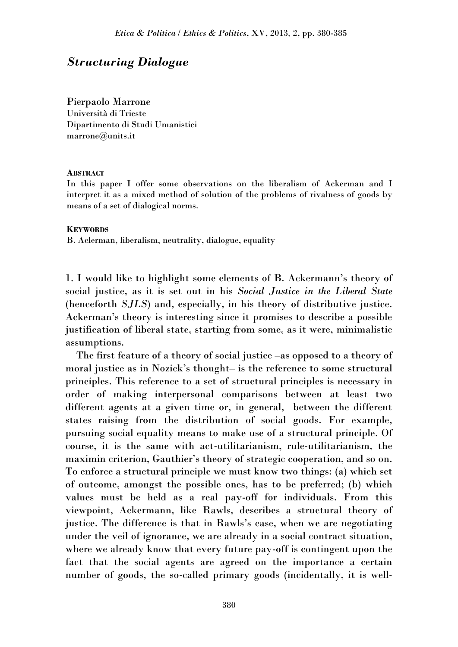## *Structuring Dialogue*

Pierpaolo Marrone Università di Trieste Dipartimento di Studi Umanistici marrone@units.it

## **ABSTRACT**

In this paper I offer some observations on the liberalism of Ackerman and I interpret it as a mixed method of solution of the problems of rivalness of goods by means of a set of dialogical norms.

## **KEYWORDS**

B. Aclerman, liberalism, neutrality, dialogue, equality

1. I would like to highlight some elements of B. Ackermann's theory of social justice, as it is set out in his *Social Justice in the Liberal State* (henceforth *SJLS*) and, especially, in his theory of distributive justice. Ackerman's theory is interesting since it promises to describe a possible justification of liberal state, starting from some, as it were, minimalistic assumptions.

The first feature of a theory of social justice –as opposed to a theory of moral justice as in Nozick's thought– is the reference to some structural principles. This reference to a set of structural principles is necessary in order of making interpersonal comparisons between at least two different agents at a given time or, in general, between the different states raising from the distribution of social goods. For example, pursuing social equality means to make use of a structural principle. Of course, it is the same with act-utilitarianism, rule-utilitarianism, the maximin criterion, Gauthier's theory of strategic cooperation, and so on. To enforce a structural principle we must know two things: (a) which set of outcome, amongst the possible ones, has to be preferred; (b) which values must be held as a real pay-off for individuals. From this viewpoint, Ackermann, like Rawls, describes a structural theory of justice. The difference is that in Rawls's case, when we are negotiating under the veil of ignorance, we are already in a social contract situation, where we already know that every future pay-off is contingent upon the fact that the social agents are agreed on the importance a certain number of goods, the so-called primary goods (incidentally, it is well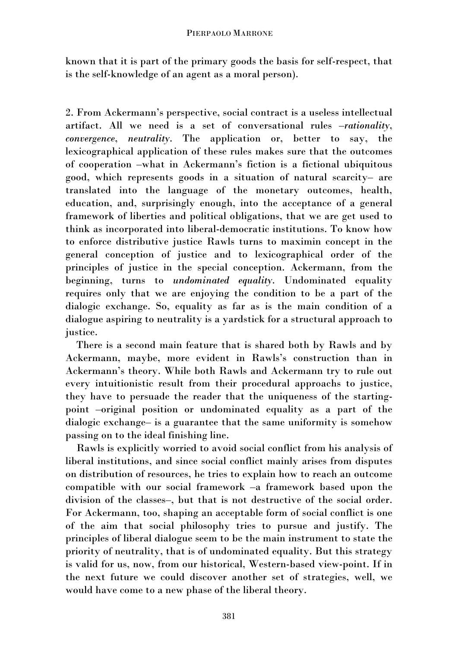known that it is part of the primary goods the basis for self-respect, that is the self-knowledge of an agent as a moral person).

2. From Ackermann's perspective, social contract is a useless intellectual artifact. All we need is a set of conversational rules –*rationality*, *convergence*, *neutrality*. The application or, better to say, the lexicographical application of these rules makes sure that the outcomes of cooperation –what in Ackermann's fiction is a fictional ubiquitous good, which represents goods in a situation of natural scarcity– are translated into the language of the monetary outcomes, health, education, and, surprisingly enough, into the acceptance of a general framework of liberties and political obligations, that we are get used to think as incorporated into liberal-democratic institutions. To know how to enforce distributive justice Rawls turns to maximin concept in the general conception of justice and to lexicographical order of the principles of justice in the special conception. Ackermann, from the beginning, turns to *undominated equality*. Undominated equality requires only that we are enjoying the condition to be a part of the dialogic exchange. So, equality as far as is the main condition of a dialogue aspiring to neutrality is a yardstick for a structural approach to justice.

There is a second main feature that is shared both by Rawls and by Ackermann, maybe, more evident in Rawls's construction than in Ackermann's theory. While both Rawls and Ackermann try to rule out every intuitionistic result from their procedural approachs to justice, they have to persuade the reader that the uniqueness of the startingpoint –original position or undominated equality as a part of the dialogic exchange– is a guarantee that the same uniformity is somehow passing on to the ideal finishing line.

Rawls is explicitly worried to avoid social conflict from his analysis of liberal institutions, and since social conflict mainly arises from disputes on distribution of resources, he tries to explain how to reach an outcome compatible with our social framework –a framework based upon the division of the classes–, but that is not destructive of the social order. For Ackermann, too, shaping an acceptable form of social conflict is one of the aim that social philosophy tries to pursue and justify. The principles of liberal dialogue seem to be the main instrument to state the priority of neutrality, that is of undominated equality. But this strategy is valid for us, now, from our historical, Western-based view-point. If in the next future we could discover another set of strategies, well, we would have come to a new phase of the liberal theory.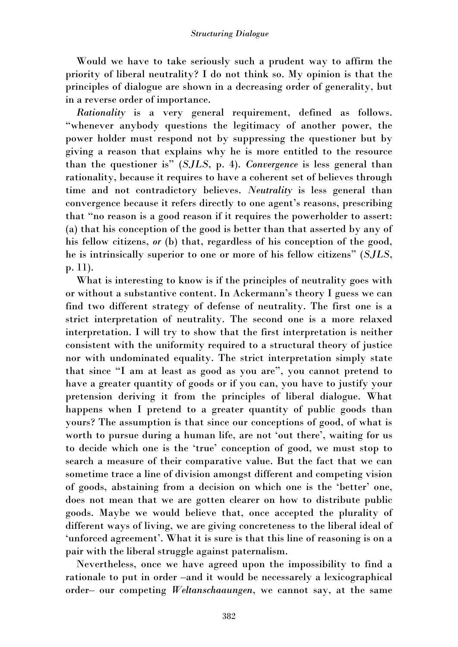Would we have to take seriously such a prudent way to affirm the priority of liberal neutrality? I do not think so. My opinion is that the principles of dialogue are shown in a decreasing order of generality, but in a reverse order of importance.

*Rationality* is a very general requirement, defined as follows. "whenever anybody questions the legitimacy of another power, the power holder must respond not by suppressing the questioner but by giving a reason that explains why he is more entitled to the resource than the questioner is" (*SJLS*, p. 4). *Convergence* is less general than rationality, because it requires to have a coherent set of believes through time and not contradictory believes. *Neutrality* is less general than convergence because it refers directly to one agent's reasons, prescribing that "no reason is a good reason if it requires the powerholder to assert: (a) that his conception of the good is better than that asserted by any of his fellow citizens, *or* (b) that, regardless of his conception of the good, he is intrinsically superior to one or more of his fellow citizens" (*SJLS*, p. 11).

What is interesting to know is if the principles of neutrality goes with or without a substantive content. In Ackermann's theory I guess we can find two different strategy of defense of neutrality. The first one is a strict interpretation of neutrality. The second one is a more relaxed interpretation. I will try to show that the first interpretation is neither consistent with the uniformity required to a structural theory of justice nor with undominated equality. The strict interpretation simply state that since "I am at least as good as you are", you cannot pretend to have a greater quantity of goods or if you can, you have to justify your pretension deriving it from the principles of liberal dialogue. What happens when I pretend to a greater quantity of public goods than yours? The assumption is that since our conceptions of good, of what is worth to pursue during a human life, are not 'out there', waiting for us to decide which one is the 'true' conception of good, we must stop to search a measure of their comparative value. But the fact that we can sometime trace a line of division amongst different and competing vision of goods, abstaining from a decision on which one is the 'better' one, does not mean that we are gotten clearer on how to distribute public goods. Maybe we would believe that, once accepted the plurality of different ways of living, we are giving concreteness to the liberal ideal of 'unforced agreement'. What it is sure is that this line of reasoning is on a pair with the liberal struggle against paternalism.

Nevertheless, once we have agreed upon the impossibility to find a rationale to put in order –and it would be necessarely a lexicographical order– our competing *Weltanschaaungen*, we cannot say, at the same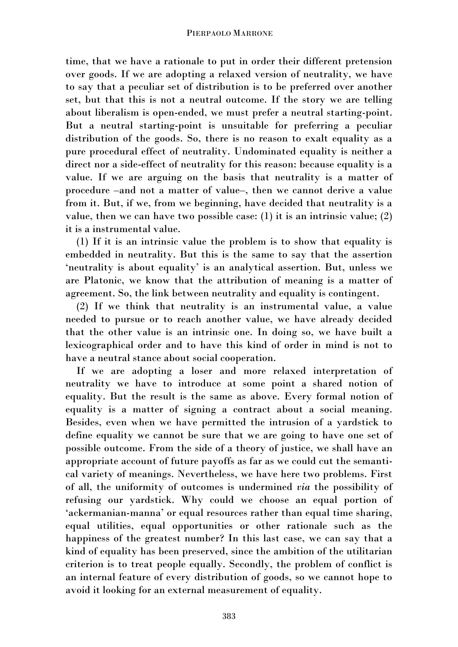time, that we have a rationale to put in order their different pretension over goods. If we are adopting a relaxed version of neutrality, we have to say that a peculiar set of distribution is to be preferred over another set, but that this is not a neutral outcome. If the story we are telling about liberalism is open-ended, we must prefer a neutral starting-point. But a neutral starting-point is unsuitable for preferring a peculiar distribution of the goods. So, there is no reason to exalt equality as a pure procedural effect of neutrality. Undominated equality is neither a direct nor a side-effect of neutrality for this reason: because equality is a value. If we are arguing on the basis that neutrality is a matter of procedure –and not a matter of value–, then we cannot derive a value from it. But, if we, from we beginning, have decided that neutrality is a value, then we can have two possible case: (1) it is an intrinsic value; (2) it is a instrumental value.

(1) If it is an intrinsic value the problem is to show that equality is embedded in neutrality. But this is the same to say that the assertion 'neutrality is about equality' is an analytical assertion. But, unless we are Platonic, we know that the attribution of meaning is a matter of agreement. So, the link between neutrality and equality is contingent.

(2) If we think that neutrality is an instrumental value, a value needed to pursue or to reach another value, we have already decided that the other value is an intrinsic one. In doing so, we have built a lexicographical order and to have this kind of order in mind is not to have a neutral stance about social cooperation.

If we are adopting a loser and more relaxed interpretation of neutrality we have to introduce at some point a shared notion of equality. But the result is the same as above. Every formal notion of equality is a matter of signing a contract about a social meaning. Besides, even when we have permitted the intrusion of a yardstick to define equality we cannot be sure that we are going to have one set of possible outcome. From the side of a theory of justice, we shall have an appropriate account of future payoffs as far as we could cut the semantical variety of meanings. Nevertheless, we have here two problems. First of all, the uniformity of outcomes is undermined *via* the possibility of refusing our yardstick. Why could we choose an equal portion of 'ackermanian-manna' or equal resources rather than equal time sharing, equal utilities, equal opportunities or other rationale such as the happiness of the greatest number? In this last case, we can say that a kind of equality has been preserved, since the ambition of the utilitarian criterion is to treat people equally. Secondly, the problem of conflict is an internal feature of every distribution of goods, so we cannot hope to avoid it looking for an external measurement of equality.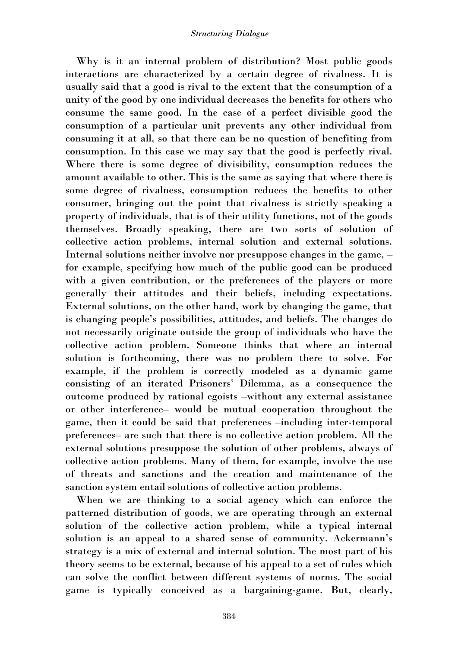Why is it an internal problem of distribution? Most public goods interactions are characterized by a certain degree of rivalness. It is usually said that a good is rival to the extent that the consumption of a unity of the good by one individual decreases the benefits for others who consume the same good. In the case of a perfect divisible good the consumption of a particular unit prevents any other individual from consuming it at all, so that there can be no question of benefiting from consumption. In this case we may say that the good is perfectly rival. Where there is some degree of divisibility, consumption reduces the amount available to other. This is the same as saying that where there is some degree of rivalness, consumption reduces the benefits to other consumer, bringing out the point that rivalness is strictly speaking a property of individuals, that is of their utility functions, not of the goods themselves. Broadly speaking, there are two sorts of solution of collective action problems, internal solution and external solutions. Internal solutions neither involve nor presuppose changes in the game, – for example, specifying how much of the public good can be produced with a given contribution, or the preferences of the players or more generally their attitudes and their beliefs, including expectations. External solutions, on the other hand, work by changing the game, that is changing people's possibilities, attitudes, and beliefs. The changes do not necessarily originate outside the group of individuals who have the collective action problem. Someone thinks that where an internal solution is forthcoming, there was no problem there to solve. For example, if the problem is correctly modeled as a dynamic game consisting of an iterated Prisoners' Dilemma, as a consequence the outcome produced by rational egoists –without any external assistance or other interference– would be mutual cooperation throughout the game, then it could be said that preferences –including inter-temporal preferences– are such that there is no collective action problem. All the external solutions presuppose the solution of other problems, always of collective action problems. Many of them, for example, involve the use of threats and sanctions and the creation and maintenance of the sanction system entail solutions of collective action problems.

When we are thinking to a social agency which can enforce the patterned distribution of goods, we are operating through an external solution of the collective action problem, while a typical internal solution is an appeal to a shared sense of community. Ackermann's strategy is a mix of external and internal solution. The most part of his theory seems to be external, because of his appeal to a set of rules which can solve the conflict between different systems of norms. The social game is typically conceived as a bargaining-game. But, clearly,